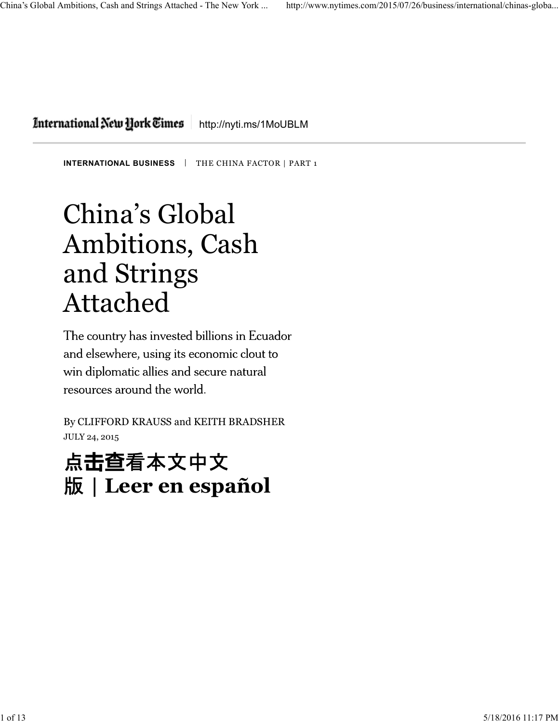#### International New Hork Times | http://nyti.ms/1MoUBLM

INTERNATIONAL BUSINESS | THE CHINA FACTOR | PART 1

# China's Global Ambitions, Cash and Strings Attached

and Strings<br>and Strings<br>Attached<br>The country has invested billions in Ecuador<br>and elsewhere, using its economic clout to<br>win diplomatic allies and secure natural<br>resources around the world.<br>By CLIFFORD KRAUSS and KEITH BR

By CLIFFORD KRAUSS and KEITH BRADSHER JULY 24, 2015

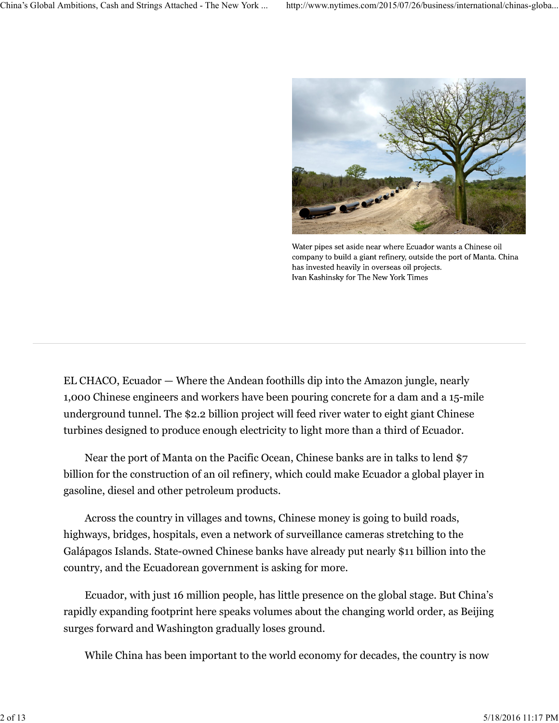

Water pipes set aside near where Ecuador wants a Chinese oil company to build a giant refinery, outside the port of Manta. China has invested heavily in overseas oil projects. Ivan Kashinsky for The New York Times

EL CHACO, Ecuador — Where the Andean foothills dip into the Amazon jungle, nearly 1,000 Chinese engineers and workers have been pouring concrete for a dam and a 15-mile underground tunnel. The \$2.2 billion project will feed river water to eight giant Chinese turbines designed to produce enough electricity to light more than a third of Ecuador.

Near the port of Manta on the Pacific Ocean, Chinese banks are in talks to lend \$7 billion for the construction of an oil refinery, which could make Ecuador a global player in gasoline, diesel and other petroleum products.

Across the country in villages and towns, Chinese money is going to build roads, highways, bridges, hospitals, even a network of surveillance cameras stretching to the Galápagos Islands. State-owned Chinese banks have already put nearly \$11 billion into the country, and the Ecuadorean government is asking for more. gasoline, diesel and other petroleum products.<br>
Across the country in villages and towns, Chinese money is going to build roads,<br>
highways, bridges, hospitals, even a network of surveillance cameras stretching to the<br>
Gal

Ecuador, with just 16 million people, has little presence on the global stage. But China's rapidly expanding footprint here speaks volumes about the changing world order, as Beijing surges forward and Washington gradually loses ground.

While China has been important to the world economy for decades, the country is now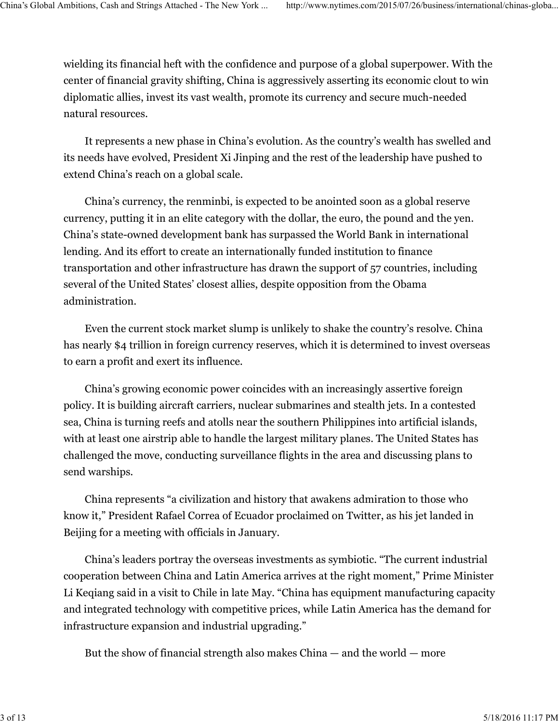wielding its financial heft with the confidence and purpose of a global superpower. With the center of financial gravity shifting, China is aggressively asserting its economic clout to win diplomatic allies, invest its vast wealth, promote its currency and secure much-needed natural resources. China's Global Ambitions, Cash and Strings Attached - The New York ... http://www.nytimes.com/2015/07/26/business/international/chinas-globa...

It represents a new phase in China's evolution. As the country's wealth has swelled and its needs have evolved, President Xi Jinping and the rest of the leadership have pushed to extend China's reach on a global scale.

China's currency, the renminbi, is expected to be anointed soon as a global reserve currency, putting it in an elite category with the dollar, the euro, the pound and the yen. China's state-owned development bank has surpassed the World Bank in international lending. And its effort to create an internationally funded institution to finance transportation and other infrastructure has drawn the support of 57 countries, including several of the United States' closest allies, despite opposition from the Obama administration.

Even the current stock market slump is unlikely to shake the country's resolve. China has nearly \$4 trillion in foreign currency reserves, which it is determined to invest overseas to earn a profit and exert its influence.

China's growing economic power coincides with an increasingly assertive foreign policy. It is building aircraft carriers, nuclear submarines and stealth jets. In a contested sea, China is turning reefs and atolls near the southern Philippines into artificial islands, with at least one airstrip able to handle the largest military planes. The United States has challenged the move, conducting surveillance flights in the area and discussing plans to send warships.

China represents "a civilization and history that awakens admiration to those who know it," President Rafael Correa of Ecuador proclaimed on Twitter, as his jet landed in Beijing for a meeting with officials in January.

China's leaders portray the overseas investments as symbiotic. "The current industrial cooperation between China and Latin America arrives at the right moment," Prime Minister Li Keqiang said in a visit to Chile in late May. "China has equipment manufacturing capacity and integrated technology with competitive prices, while Latin America has the demand for infrastructure expansion and industrial upgrading." China represents "a civilization and history that awakens admiration to those who<br>know it," President Rafael Correa of Ecuador proclaimed on Twitter, as his jet landed in<br>Beijing for a meeting with officials in January.<br>C

But the show of financial strength also makes China  $-$  and the world  $-$  more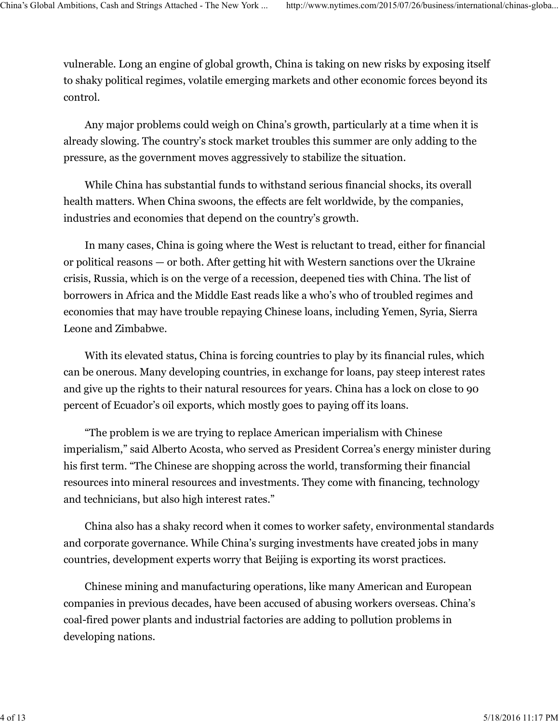vulnerable. Long an engine of global growth, China is taking on new risks by exposing itself to shaky political regimes, volatile emerging markets and other economic forces beyond its control. China's Global Ambitions, Cash and Strings Attached - The New York ... http://www.nytimes.com/2015/07/26/business/international/chinas-globa...

Any major problems could weigh on China's growth, particularly at a time when it is already slowing. The country's stock market troubles this summer are only adding to the pressure, as the government moves aggressively to stabilize the situation.

While China has substantial funds to withstand serious financial shocks, its overall health matters. When China swoons, the effects are felt worldwide, by the companies, industries and economies that depend on the country's growth.

In many cases, China is going where the West is reluctant to tread, either for financial or political reasons — or both. After getting hit with Western sanctions over the Ukraine crisis, Russia, which is on the verge of a recession, deepened ties with China. The list of borrowers in Africa and the Middle East reads like a who's who of troubled regimes and economies that may have trouble repaying Chinese loans, including Yemen, Syria, Sierra Leone and Zimbabwe.

With its elevated status, China is forcing countries to play by its financial rules, which can be onerous. Many developing countries, in exchange for loans, pay steep interest rates and give up the rights to their natural resources for years. China has a lock on close to 90 percent of Ecuador's oil exports, which mostly goes to paying off its loans.

"The problem is we are trying to replace American imperialism with Chinese imperialism," said Alberto Acosta, who served as President Correa's energy minister during his first term. "The Chinese are shopping across the world, transforming their financial resources into mineral resources and investments. They come with financing, technology and technicians, but also high interest rates."

China also has a shaky record when it comes to worker safety, environmental standards and corporate governance. While China's surging investments have created jobs in many countries, development experts worry that Beijing is exporting its worst practices.

Chinese mining and manufacturing operations, like many American and European companies in previous decades, have been accused of abusing workers overseas. China's coal-fired power plants and industrial factories are adding to pollution problems in developing nations. resources into mineral resources and investments. They come with financing, technology<br>and technicians, but also high interest rates."<br>China also has a shaky record when it comes to worker safety, environmental standards<br>a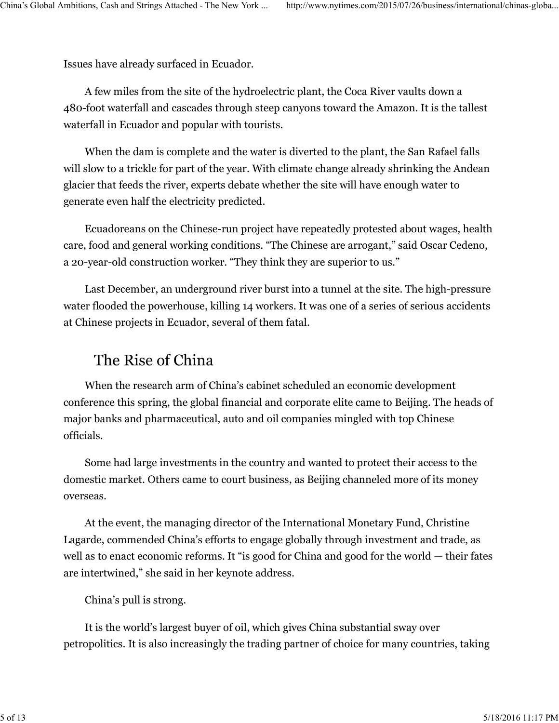Issues have already surfaced in Ecuador.

A few miles from the site of the hydroelectric plant, the Coca River vaults down a 480-foot waterfall and cascades through steep canyons toward the Amazon. It is the tallest waterfall in Ecuador and popular with tourists.

When the dam is complete and the water is diverted to the plant, the San Rafael falls will slow to a trickle for part of the year. With climate change already shrinking the Andean glacier that feeds the river, experts debate whether the site will have enough water to generate even half the electricity predicted.

Ecuadoreans on the Chinese-run project have repeatedly protested about wages, health care, food and general working conditions. "The Chinese are arrogant," said Oscar Cedeno, a 20-year-old construction worker. "They think they are superior to us."

Last December, an underground river burst into a tunnel at the site. The high-pressure water flooded the powerhouse, killing 14 workers. It was one of a series of serious accidents at Chinese projects in Ecuador, several of them fatal.

### The Rise of China

When the research arm of China's cabinet scheduled an economic development conference this spring, the global financial and corporate elite came to Beijing. The heads of major banks and pharmaceutical, auto and oil companies mingled with top Chinese officials.

Some had large investments in the country and wanted to protect their access to the domestic market. Others came to court business, as Beijing channeled more of its money overseas.

At the event, the managing director of the International Monetary Fund, Christine Lagarde, commended China's efforts to engage globally through investment and trade, as well as to enact economic reforms. It "is good for China and good for the world — their fates are intertwined," she said in her keynote address. tomestic market. One's came to court business, as beying channeled into e of its intoney<br>overseas.<br>At the event, the managing director of the International Monetary Fund, Christine<br>Lagarde, commended China's efforts to eng

China's pull is strong.

It is the world's largest buyer of oil, which gives China substantial sway over petropolitics. It is also increasingly the trading partner of choice for many countries, taking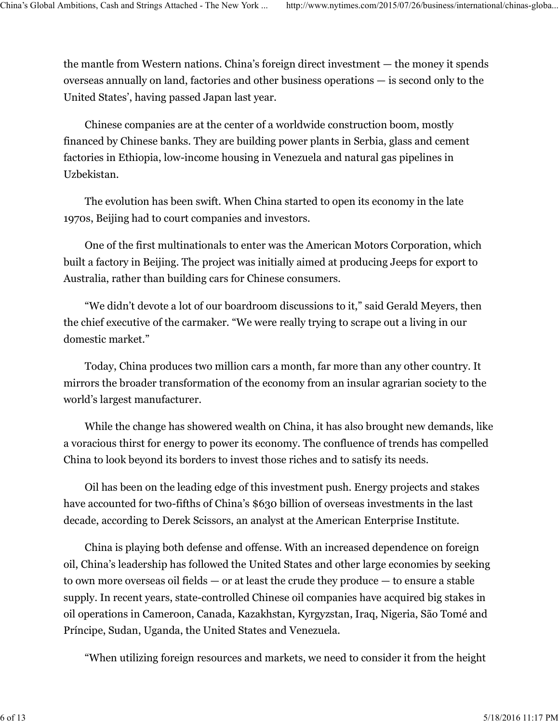the mantle from Western nations. China's foreign direct investment — the money it spends overseas annually on land, factories and other business operations — is second only to the United States', having passed Japan last year. China's Global Ambitions, Cash and Strings Attached - The New York ... http://www.nytimes.com/2015/07/26/business/international/chinas-globa...

Chinese companies are at the center of a worldwide construction boom, mostly financed by Chinese banks. They are building power plants in Serbia, glass and cement factories in Ethiopia, low-income housing in Venezuela and natural gas pipelines in Uzbekistan.

The evolution has been swift. When China started to open its economy in the late 1970s, Beijing had to court companies and investors.

One of the first multinationals to enter was the American Motors Corporation, which built a factory in Beijing. The project was initially aimed at producing Jeeps for export to Australia, rather than building cars for Chinese consumers.

"We didn't devote a lot of our boardroom discussions to it," said Gerald Meyers, then the chief executive of the carmaker. "We were really trying to scrape out a living in our domestic market."

Today, China produces two million cars a month, far more than any other country. It mirrors the broader transformation of the economy from an insular agrarian society to the world's largest manufacturer.

While the change has showered wealth on China, it has also brought new demands, like a voracious thirst for energy to power its economy. The confluence of trends has compelled China to look beyond its borders to invest those riches and to satisfy its needs.

Oil has been on the leading edge of this investment push. Energy projects and stakes have accounted for two-fifths of China's \$630 billion of overseas investments in the last decade, according to Derek Scissors, an analyst at the American Enterprise Institute.

China is playing both defense and offense. With an increased dependence on foreign oil, China's leadership has followed the United States and other large economies by seeking to own more overseas oil fields — or at least the crude they produce — to ensure a stable supply. In recent years, state-controlled Chinese oil companies have acquired big stakes in oil operations in Cameroon, Canada, Kazakhstan, Kyrgyzstan, Iraq, Nigeria, São Tomé and Príncipe, Sudan, Uganda, the United States and Venezuela. Oil has been on the leading edge of this investment push. Energy projects and stakes<br>have accounted for two-fifths of China's \$630 billion of overseas investments in the last<br>decade, according to Derek Scissors, an analyst

"When utilizing foreign resources and markets, we need to consider it from the height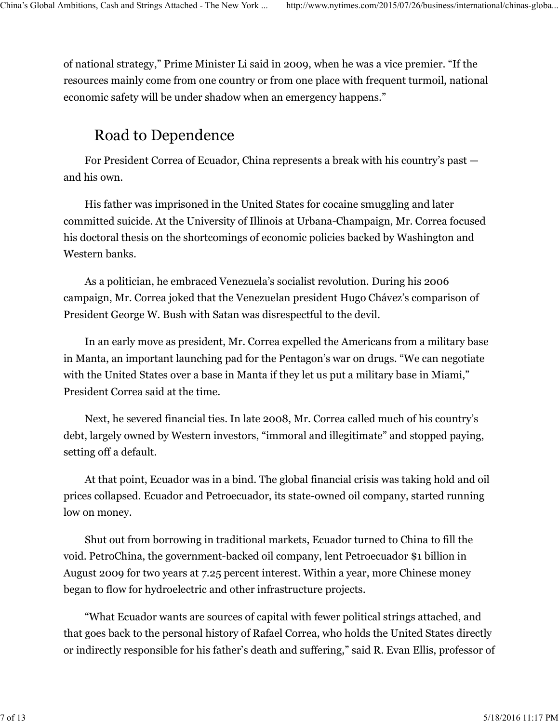of national strategy," Prime Minister Li said in 2009, when he was a vice premier. "If the resources mainly come from one country or from one place with frequent turmoil, national economic safety will be under shadow when an emergency happens." China's Global Ambitions, Cash and Strings Attached - The New York ... http://www.nytimes.com/2015/07/26/business/international/chinas-globa...<br>of national strategy " Prime Minister Li said in 2000, when he was a vice prem

## Road to Dependence

For President Correa of Ecuador, China represents a break with his country's past and his own.

His father was imprisoned in the United States for cocaine smuggling and later committed suicide. At the University of Illinois at Urbana-Champaign, Mr. Correa focused his doctoral thesis on the shortcomings of economic policies backed by Washington and Western banks.

As a politician, he embraced Venezuela's socialist revolution. During his 2006 campaign, Mr. Correa joked that the Venezuelan president Hugo Chávez's comparison of President George W. Bush with Satan was disrespectful to the devil.

In an early move as president, Mr. Correa expelled the Americans from a military base in Manta, an important launching pad for the Pentagon's war on drugs. "We can negotiate with the United States over a base in Manta if they let us put a military base in Miami," President Correa said at the time.

Next, he severed financial ties. In late 2008, Mr. Correa called much of his country's debt, largely owned by Western investors, "immoral and illegitimate" and stopped paying, setting off a default.

At that point, Ecuador was in a bind. The global financial crisis was taking hold and oil prices collapsed. Ecuador and Petroecuador, its state-owned oil company, started running low on money.

Shut out from borrowing in traditional markets, Ecuador turned to China to fill the void. PetroChina, the government-backed oil company, lent Petroecuador \$1 billion in August 2009 for two years at 7.25 percent interest. Within a year, more Chinese money began to flow for hydroelectric and other infrastructure projects. At the point principle and Petroecuador, its state-owned oil company, started running<br>prices collapsed. Ecuador and Petroecuador, its state-owned oil company, started running<br>low on money.<br>Shut out from borrowing in tradit

"What Ecuador wants are sources of capital with fewer political strings attached, and that goes back to the personal history of Rafael Correa, who holds the United States directly or indirectly responsible for his father's death and suffering," said R. Evan Ellis, professor of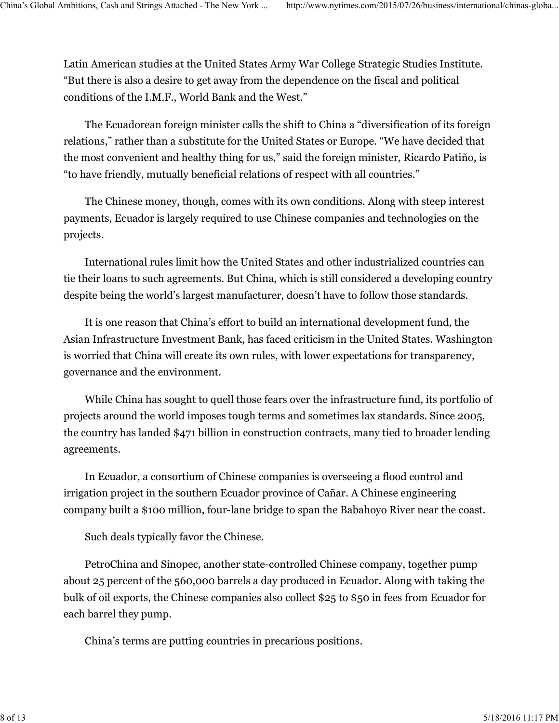Latin American studies at the United States Army War College Strategic Studies Institute. "But there is also a desire to get away from the dependence on the fiscal and political conditions of the I.M.F., World Bank and the West." China's Global Ambitions, Cash and Strings Attached - The New York ... http://www.nytimes.com/2015/07/26/business/international/chinas-globa...

The Ecuadorean foreign minister calls the shift to China a "diversification of its foreign relations," rather than a substitute for the United States or Europe. "We have decided that the most convenient and healthy thing for us," said the foreign minister, Ricardo Patiño, is "to have friendly, mutually beneficial relations of respect with all countries."

The Chinese money, though, comes with its own conditions. Along with steep interest payments, Ecuador is largely required to use Chinese companies and technologies on the projects.

International rules limit how the United States and other industrialized countries can tie their loans to such agreements. But China, which is still considered a developing country despite being the world's largest manufacturer, doesn't have to follow those standards.

It is one reason that China's effort to build an international development fund, the Asian Infrastructure Investment Bank, has faced criticism in the United States. Washington is worried that China will create its own rules, with lower expectations for transparency, governance and the environment.

While China has sought to quell those fears over the infrastructure fund, its portfolio of projects around the world imposes tough terms and sometimes lax standards. Since 2005, the country has landed \$471 billion in construction contracts, many tied to broader lending agreements.

In Ecuador, a consortium of Chinese companies is overseeing a flood control and irrigation project in the southern Ecuador province of Cañar. A Chinese engineering company built a \$100 million, four-lane bridge to span the Babahoyo River near the coast.

Such deals typically favor the Chinese.

PetroChina and Sinopec, another state-controlled Chinese company, together pump about 25 percent of the 560,000 barrels a day produced in Ecuador. Along with taking the bulk of oil exports, the Chinese companies also collect \$25 to \$50 in fees from Ecuador for each barrel they pump. irrigation project in the southern Ecuador province of Cañar. A Chinese engineering<br>company built a \$100 million, four-lane bridge to span the Babahoyo River near the coast.<br>Such deals typically favor the Chinese.<br>PetroCh

China's terms are putting countries in precarious positions.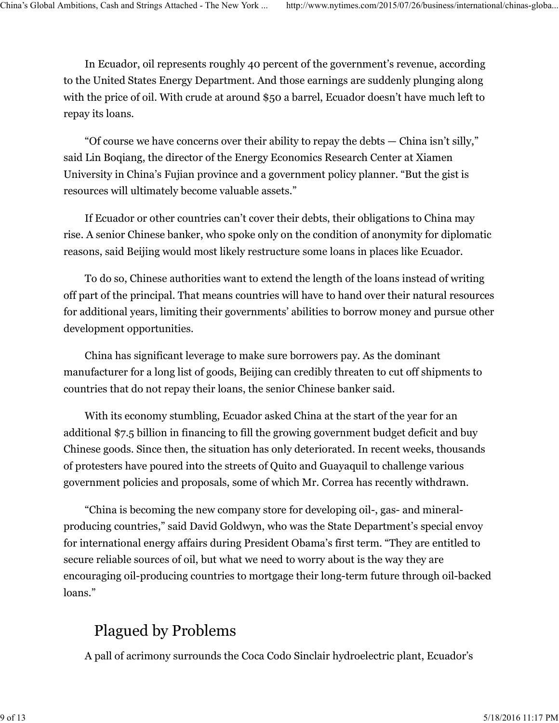In Ecuador, oil represents roughly 40 percent of the government's revenue, according to the United States Energy Department. And those earnings are suddenly plunging along with the price of oil. With crude at around \$50 a barrel, Ecuador doesn't have much left to repay its loans. China's Global Ambitions, Cash and Strings Attached - The New York ... http://www.nytimes.com/2015/07/26/business/international/chinas-globa...<br>In Ecuador oil represents roughly 40 percent of the government's revenue accor

"Of course we have concerns over their ability to repay the debts — China isn't silly," said Lin Boqiang, the director of the Energy Economics Research Center at Xiamen University in China's Fujian province and a government policy planner. "But the gist is resources will ultimately become valuable assets."

If Ecuador or other countries can't cover their debts, their obligations to China may rise. A senior Chinese banker, who spoke only on the condition of anonymity for diplomatic reasons, said Beijing would most likely restructure some loans in places like Ecuador.

To do so, Chinese authorities want to extend the length of the loans instead of writing off part of the principal. That means countries will have to hand over their natural resources for additional years, limiting their governments' abilities to borrow money and pursue other development opportunities.

China has significant leverage to make sure borrowers pay. As the dominant manufacturer for a long list of goods, Beijing can credibly threaten to cut off shipments to countries that do not repay their loans, the senior Chinese banker said.

With its economy stumbling, Ecuador asked China at the start of the year for an additional \$7.5 billion in financing to fill the growing government budget deficit and buy Chinese goods. Since then, the situation has only deteriorated. In recent weeks, thousands of protesters have poured into the streets of Quito and Guayaquil to challenge various government policies and proposals, some of which Mr. Correa has recently withdrawn.

"China is becoming the new company store for developing oil-, gas- and mineralproducing countries," said David Goldwyn, who was the State Department's special envoy for international energy affairs during President Obama's first term. "They are entitled to secure reliable sources of oil, but what we need to worry about is the way they are encouraging oil-producing countries to mortgage their long-term future through oil-backed loans." government policies and proposals, some of which Mr. Correa has recently withdrawn.<br>
"China is becoming the new company store for developing oil-, gas- and mineral-<br>
producing countries," said David Goldwyn, who was the St

# Plagued by Problems

A pall of acrimony surrounds the Coca Codo Sinclair hydroelectric plant, Ecuador's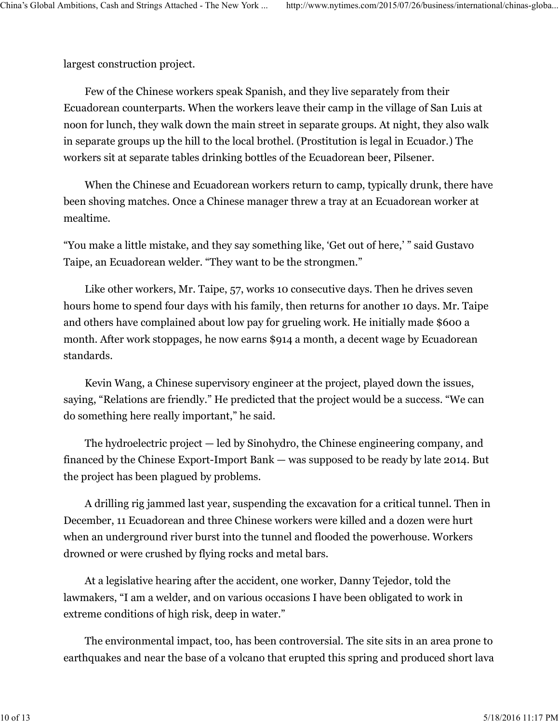largest construction project.

Few of the Chinese workers speak Spanish, and they live separately from their Ecuadorean counterparts. When the workers leave their camp in the village of San Luis at noon for lunch, they walk down the main street in separate groups. At night, they also walk in separate groups up the hill to the local brothel. (Prostitution is legal in Ecuador.) The workers sit at separate tables drinking bottles of the Ecuadorean beer, Pilsener.

When the Chinese and Ecuadorean workers return to camp, typically drunk, there have been shoving matches. Once a Chinese manager threw a tray at an Ecuadorean worker at mealtime.

"You make a little mistake, and they say something like, 'Get out of here,' " said Gustavo Taipe, an Ecuadorean welder. "They want to be the strongmen."

Like other workers, Mr. Taipe, 57, works 10 consecutive days. Then he drives seven hours home to spend four days with his family, then returns for another 10 days. Mr. Taipe and others have complained about low pay for grueling work. He initially made \$600 a month. After work stoppages, he now earns \$914 a month, a decent wage by Ecuadorean standards.

Kevin Wang, a Chinese supervisory engineer at the project, played down the issues, saying, "Relations are friendly." He predicted that the project would be a success. "We can do something here really important," he said.

The hydroelectric project — led by Sinohydro, the Chinese engineering company, and financed by the Chinese Export-Import Bank — was supposed to be ready by late 2014. But the project has been plagued by problems.

A drilling rig jammed last year, suspending the excavation for a critical tunnel. Then in December, 11 Ecuadorean and three Chinese workers were killed and a dozen were hurt when an underground river burst into the tunnel and flooded the powerhouse. Workers drowned or were crushed by flying rocks and metal bars. A drilling rig jammed last year, suspending the excavation for a critical tunnel. Then in<br>December, 11 Ecuadorean and three Chinese workers were killed and a dozen were hurt<br>when an underground river burst into the tunnel

At a legislative hearing after the accident, one worker, Danny Tejedor, told the lawmakers, "I am a welder, and on various occasions I have been obligated to work in extreme conditions of high risk, deep in water."

The environmental impact, too, has been controversial. The site sits in an area prone to earthquakes and near the base of a volcano that erupted this spring and produced short lava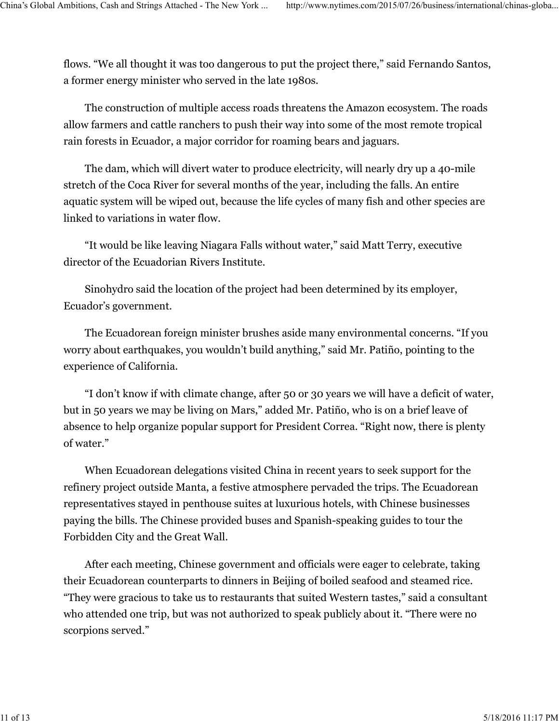flows. "We all thought it was too dangerous to put the project there," said Fernando Santos, a former energy minister who served in the late 1980s. China's Global Ambitions, Cash and Strings Attached - The New York ... http://www.nytimes.com/2015/07/26/business/international/chinas-globa...<br>flows "We all thought it was too dangerous to put the project there " said Fer

The construction of multiple access roads threatens the Amazon ecosystem. The roads allow farmers and cattle ranchers to push their way into some of the most remote tropical rain forests in Ecuador, a major corridor for roaming bears and jaguars.

The dam, which will divert water to produce electricity, will nearly dry up a 40-mile stretch of the Coca River for several months of the year, including the falls. An entire aquatic system will be wiped out, because the life cycles of many fish and other species are linked to variations in water flow.

"It would be like leaving Niagara Falls without water," said Matt Terry, executive director of the Ecuadorian Rivers Institute.

Sinohydro said the location of the project had been determined by its employer, Ecuador's government.

The Ecuadorean foreign minister brushes aside many environmental concerns. "If you worry about earthquakes, you wouldn't build anything," said Mr. Patiño, pointing to the experience of California.

"I don't know if with climate change, after 50 or 30 years we will have a deficit of water, but in 50 years we may be living on Mars," added Mr. Patiño, who is on a brief leave of absence to help organize popular support for President Correa. "Right now, there is plenty of water."

When Ecuadorean delegations visited China in recent years to seek support for the refinery project outside Manta, a festive atmosphere pervaded the trips. The Ecuadorean representatives stayed in penthouse suites at luxurious hotels, with Chinese businesses paying the bills. The Chinese provided buses and Spanish-speaking guides to tour the Forbidden City and the Great Wall.

After each meeting, Chinese government and officials were eager to celebrate, taking their Ecuadorean counterparts to dinners in Beijing of boiled seafood and steamed rice. "They were gracious to take us to restaurants that suited Western tastes," said a consultant who attended one trip, but was not authorized to speak publicly about it. "There were no scorpions served." refinery project outside Manta, a festive atmosphere pervaded the trips. The Ecuadorean<br>representatives stayed in penthouse suites at luxurious hotels, with Chinese businesses<br>paying the bills. The Chinese provided buses a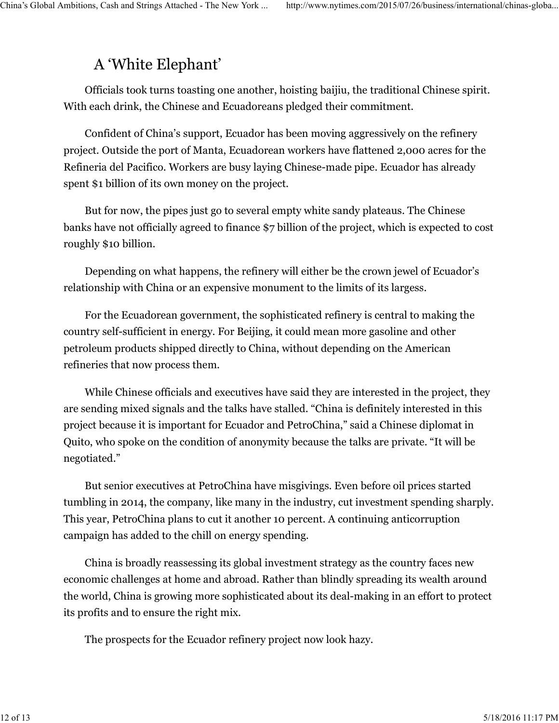## A 'White Elephant'

Officials took turns toasting one another, hoisting baijiu, the traditional Chinese spirit. With each drink, the Chinese and Ecuadoreans pledged their commitment.

Confident of China's support, Ecuador has been moving aggressively on the refinery project. Outside the port of Manta, Ecuadorean workers have flattened 2,000 acres for the Refineria del Pacifico. Workers are busy laying Chinese-made pipe. Ecuador has already spent \$1 billion of its own money on the project.

But for now, the pipes just go to several empty white sandy plateaus. The Chinese banks have not officially agreed to finance \$7 billion of the project, which is expected to cost roughly \$10 billion.

Depending on what happens, the refinery will either be the crown jewel of Ecuador's relationship with China or an expensive monument to the limits of its largess.

For the Ecuadorean government, the sophisticated refinery is central to making the country self-sufficient in energy. For Beijing, it could mean more gasoline and other petroleum products shipped directly to China, without depending on the American refineries that now process them.

While Chinese officials and executives have said they are interested in the project, they are sending mixed signals and the talks have stalled. "China is definitely interested in this project because it is important for Ecuador and PetroChina," said a Chinese diplomat in Quito, who spoke on the condition of anonymity because the talks are private. "It will be negotiated."

But senior executives at PetroChina have misgivings. Even before oil prices started tumbling in 2014, the company, like many in the industry, cut investment spending sharply. This year, PetroChina plans to cut it another 10 percent. A continuing anticorruption campaign has added to the chill on energy spending.

China is broadly reassessing its global investment strategy as the country faces new economic challenges at home and abroad. Rather than blindly spreading its wealth around the world, China is growing more sophisticated about its deal-making in an effort to protect its profits and to ensure the right mix. But senior executives at PetroChina have misgivings. Even before oil prices started<br>tumbling in 2014, the company, like many in the industry, cut investment spending sharply.<br>This year, PetroChina plans to cut it another 1

The prospects for the Ecuador refinery project now look hazy.